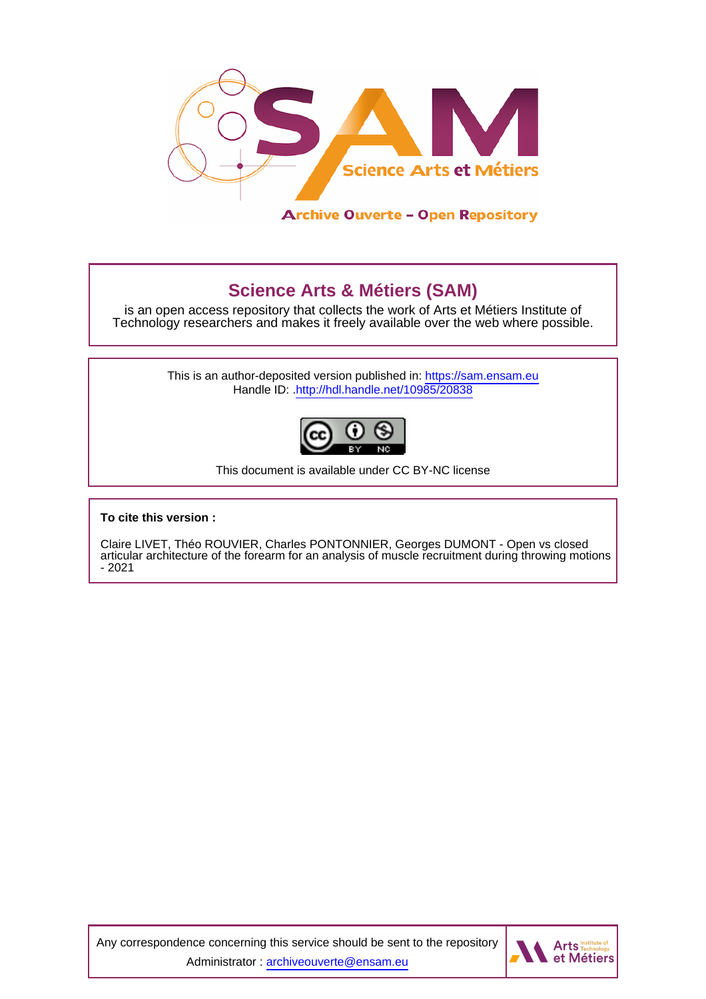

# **Science Arts & Métiers (SAM)**

is an open access repository that collects the work of Arts et Métiers Institute of Technology researchers and makes it freely available over the web where possible.

> This is an author-deposited version published in:<https://sam.ensam.eu> Handle ID: [.http://hdl.handle.net/10985/20838](http://hdl.handle.net/10985/20838)



This document is available under CC BY-NC license

## **To cite this version :**

Claire LIVET, Théo ROUVIER, Charles PONTONNIER, Georges DUMONT - Open vs closed articular architecture of the forearm for an analysis of muscle recruitment during throwing motions - 2021

Any correspondence concerning this service should be sent to the repository Administrator : [archiveouverte@ensam.eu](mailto:archiveouverte@ensam.eu)